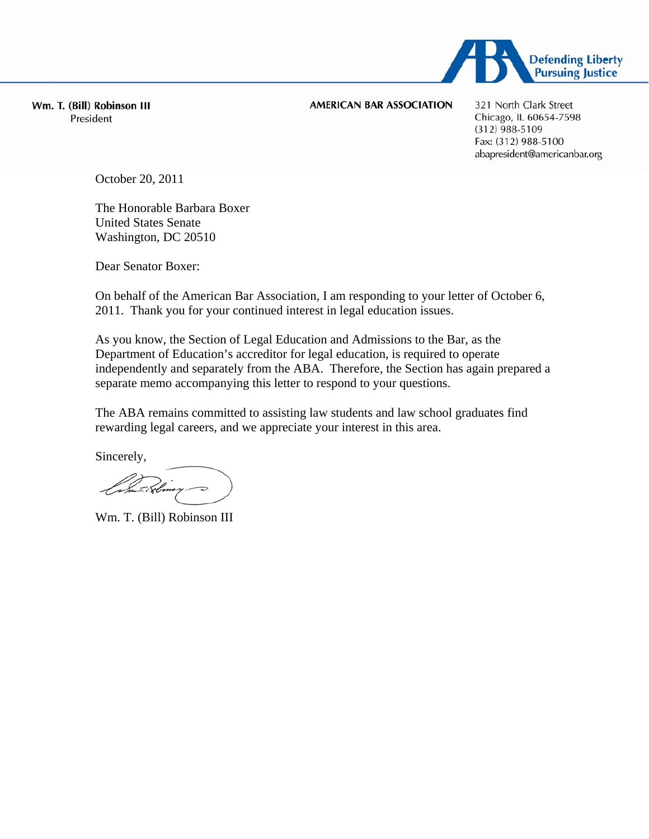

Wm. T. (Bill) Robinson III President

### **AMERICAN BAR ASSOCIATION**

321 North Clark Street Chicago, IL 60654-7598  $(312)$  988-5109 Fax: (312) 988-5100 abapresident@americanbar.org

October 20, 2011

The Honorable Barbara Boxer United States Senate Washington, DC 20510

Dear Senator Boxer:

On behalf of the American Bar Association, I am responding to your letter of October 6, 2011. Thank you for your continued interest in legal education issues.

As you know, the Section of Legal Education and Admissions to the Bar, as the Department of Education's accreditor for legal education, is required to operate independently and separately from the ABA. Therefore, the Section has again prepared a separate memo accompanying this letter to respond to your questions.

The ABA remains committed to assisting law students and law school graduates find rewarding legal careers, and we appreciate your interest in this area.

Sincerely,

r post. i Ebro

Wm. T. (Bill) Robinson III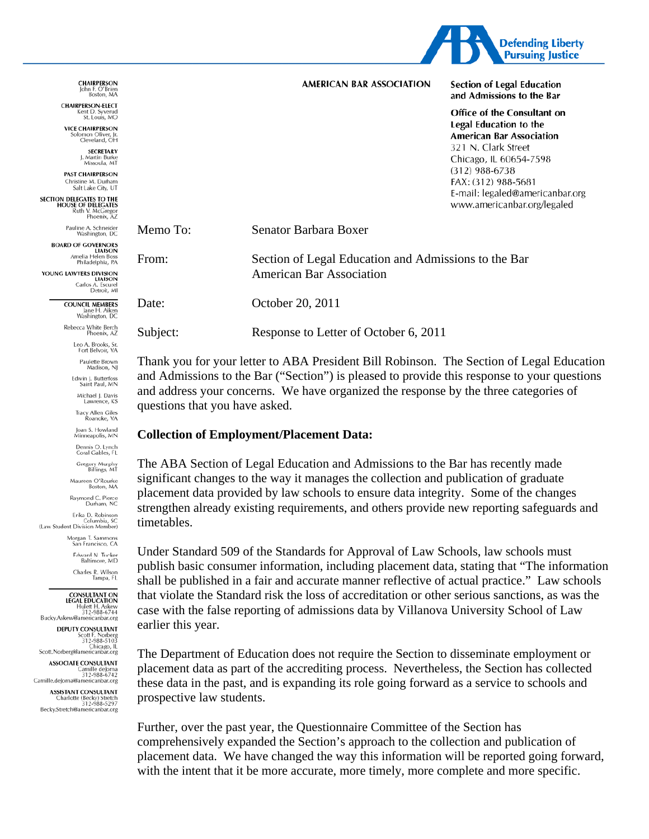

|          | AMERICAN BAR ASSOCIATION                                                                | <b>Section of Legal Education</b><br>and Admissions to the Bar                                                                                                                                                                                       |
|----------|-----------------------------------------------------------------------------------------|------------------------------------------------------------------------------------------------------------------------------------------------------------------------------------------------------------------------------------------------------|
|          |                                                                                         | Office of the Consultant on<br>Legal Education to the<br><b>American Bar Association</b><br>321 N. Clark Street<br>Chicago, IL 60654-7598<br>(312) 988-6738<br>FAX: (312) 988-5681<br>E-mail: legaled@americanbar.org<br>www.americanbar.org/legaled |
| Memo To: | Senator Barbara Boxer                                                                   |                                                                                                                                                                                                                                                      |
| From:    | Section of Legal Education and Admissions to the Bar<br><b>American Bar Association</b> |                                                                                                                                                                                                                                                      |

October 20, 2011

Response to Letter of October 6, 2011

Thank you for your letter to ABA President Bill Robinson. The Section of Legal Education and Admissions to the Bar ("Section") is pleased to provide this response to your questions and address your concerns. We have organized the response by the three categories of questions that you have asked.

### **Collection of Employment/Placement Data:**

The ABA Section of Legal Education and Admissions to the Bar has recently made significant changes to the way it manages the collection and publication of graduate placement data provided by law schools to ensure data integrity. Some of the changes strengthen already existing requirements, and others provide new reporting safeguards and timetables.

Under Standard 509 of the Standards for Approval of Law Schools, law schools must publish basic consumer information, including placement data, stating that "The information" shall be published in a fair and accurate manner reflective of actual practice." Law schools that violate the Standard risk the loss of accreditation or other serious sanctions, as was the case with the false reporting of admissions data by Villanova University School of Law earlier this year.

The Department of Education does not require the Section to disseminate employment or placement data as part of the accrediting process. Nevertheless, the Section has collected these data in the past, and is expanding its role going forward as a service to schools and prospective law students.

Further, over the past year, the Questionnaire Committee of the Section has comprehensively expanded the Section's approach to the collection and publication of placement data. We have changed the way this information will be reported going forward, with the intent that it be more accurate, more timely, more complete and more specific.

**CHAIRPERSON** John F. O Brien<br>Boston, MA

**CHAIRPERSON-FLECT** Kent D. Syverud<br>St. Louis, MO

**VICE CHAIRPERSON** omon Otiver, Jr.<br>Cleveland, OH

> **SECRETARY** J. Martin Burke<br>Missoula, MT

**PAST CHAIRPERSON** Christine M. Durham<br>Salt Lake City, UT

**SECTION DELEGATES TO THE HOUSE OF DELEGATES**<br>HOUSE OF DELEGATES<br>Ruth V. McGregor<br>Phoenix, AZ

Pauline A. Schneider<br>Washington, DC

Date:

Subject:

**BOARD OF GOVERNORS** LIAISON<br>Amelia Helen Boss Philadelphia, PA

YOUNG LAWYERS DIVISION Carlos A. Escurel<br>Detroit, MI

> **COUNCIL MEMBERS** Jane H. Aiken<br>Washington, DC

Rebecca White Berch<br>Phoenix, AZ

Leo A. Brooks, Sr.<br>Fort Belvoir, VA

Paulette Brown<br>Madison, NJ

Edwin J. Butterfoss<br>Saint Paul, MN Michael J. Davis Lawre

Tracy Allen Giles<br>Roanoke, VA

Joan S. Howland<br>Minneapolis, MN

Dennis O. Lynch<br>Coral Gables, FL

Gregory Murphy<br>Billings, MT

Maureen O'Rourke<br>Boston, MA

Raymond C. Pierce<br>Durham, NC

Erika D. Robinson Columbia, SC<br>(Law Student Division Member)

> Morgan T. Sammons San Francisco, CA

> > Edward N. Tuck ward N. Tucker<br>Baltimore, MD

> > > Charles R. Wilson Tampa, FL

#### **CONSULTANT ON LEGAL EDUCATION** Hulett H. Askew<br>312-988-6744

Bucky.Askew@americanbar.org **DEPUTY CONSULTANT** 

Scott F. Norberg<br>312-988-5103<br>Chicago, IL<br>Scott.Norberg@americanbar.org

**ASSOCIATE CONSULTANT** Camille deJorna<br>0312-988-6742<br>Camille.deJorna@americanbar.org

**ASSISTANT CONSULTANT** Charlotte (Becky) Stretch<br>312-988-5297 Becky.Stretch@americanbar.org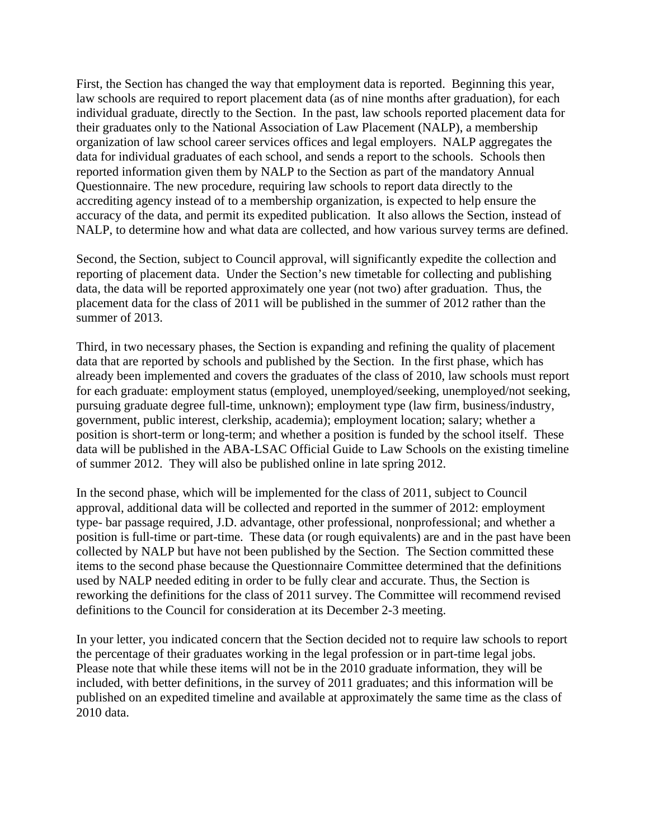First, the Section has changed the way that employment data is reported. Beginning this year, law schools are required to report placement data (as of nine months after graduation), for each individual graduate, directly to the Section. In the past, law schools reported placement data for their graduates only to the National Association of Law Placement (NALP), a membership organization of law school career services offices and legal employers. NALP aggregates the data for individual graduates of each school, and sends a report to the schools. Schools then reported information given them by NALP to the Section as part of the mandatory Annual Questionnaire. The new procedure, requiring law schools to report data directly to the accrediting agency instead of to a membership organization, is expected to help ensure the accuracy of the data, and permit its expedited publication. It also allows the Section, instead of NALP, to determine how and what data are collected, and how various survey terms are defined.

Second, the Section, subject to Council approval, will significantly expedite the collection and reporting of placement data. Under the Section's new timetable for collecting and publishing data, the data will be reported approximately one year (not two) after graduation. Thus, the placement data for the class of 2011 will be published in the summer of 2012 rather than the summer of 2013.

Third, in two necessary phases, the Section is expanding and refining the quality of placement data that are reported by schools and published by the Section. In the first phase, which has already been implemented and covers the graduates of the class of 2010, law schools must report for each graduate: employment status (employed, unemployed/seeking, unemployed/not seeking, pursuing graduate degree full-time, unknown); employment type (law firm, business/industry, government, public interest, clerkship, academia); employment location; salary; whether a position is short-term or long-term; and whether a position is funded by the school itself. These data will be published in the ABA-LSAC Official Guide to Law Schools on the existing timeline of summer 2012. They will also be published online in late spring 2012.

In the second phase, which will be implemented for the class of 2011, subject to Council approval, additional data will be collected and reported in the summer of 2012: employment type- bar passage required, J.D. advantage, other professional, nonprofessional; and whether a position is full-time or part-time. These data (or rough equivalents) are and in the past have been collected by NALP but have not been published by the Section. The Section committed these items to the second phase because the Questionnaire Committee determined that the definitions used by NALP needed editing in order to be fully clear and accurate. Thus, the Section is reworking the definitions for the class of 2011 survey. The Committee will recommend revised definitions to the Council for consideration at its December 2-3 meeting.

In your letter, you indicated concern that the Section decided not to require law schools to report the percentage of their graduates working in the legal profession or in part-time legal jobs. Please note that while these items will not be in the 2010 graduate information, they will be included, with better definitions, in the survey of 2011 graduates; and this information will be published on an expedited timeline and available at approximately the same time as the class of 2010 data.